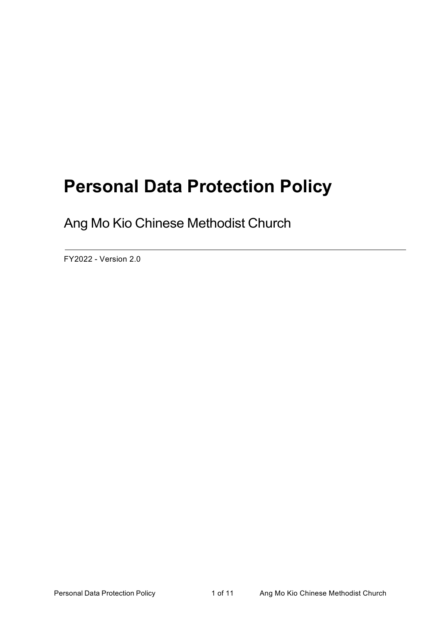# **Personal Data Protection Policy**

Ang Mo Kio Chinese Methodist Church

FY2022 - Version 2.0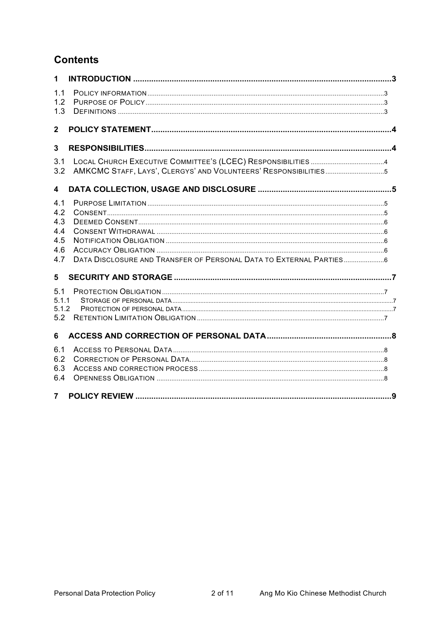# **Contents**

| $\mathbf{1}$                                  |                                                                 |  |  |  |
|-----------------------------------------------|-----------------------------------------------------------------|--|--|--|
| 1.1<br>1.2<br>1.3                             |                                                                 |  |  |  |
| $\overline{2}$                                |                                                                 |  |  |  |
| $\overline{3}$                                |                                                                 |  |  |  |
| 3.1<br>3.2                                    | AMKCMC STAFF, LAYS', CLERGYS' AND VOLUNTEERS' RESPONSIBILITIES5 |  |  |  |
| 4                                             |                                                                 |  |  |  |
| 4.1<br>4.2<br>4.3<br>4.4<br>4.5<br>4.6<br>4.7 |                                                                 |  |  |  |
| 5                                             |                                                                 |  |  |  |
| 5.1<br>5.1.1<br>5.1.2<br>5.2                  |                                                                 |  |  |  |
| 6                                             |                                                                 |  |  |  |
| 6.1<br>6.2<br>6.3<br>6.4                      |                                                                 |  |  |  |
| 7 <sup>7</sup>                                |                                                                 |  |  |  |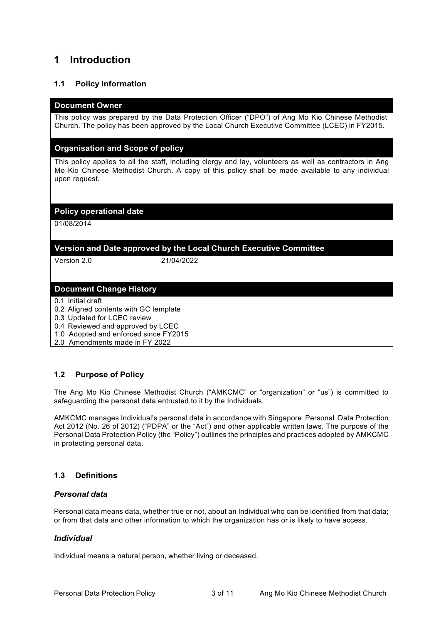# **1 Introduction**

# **1.1 Policy information**

#### **Document Owner**

This policy was prepared by the Data Protection Officer ("DPO") of Ang Mo Kio Chinese Methodist Church. The policy has been approved by the Local Church Executive Committee (LCEC) in FY2015.

#### **Organisation and Scope of policy**

This policy applies to all the staff, including clergy and lay, volunteers as well as contractors in Ang Mo Kio Chinese Methodist Church. A copy of this policy shall be made available to any individual upon request.

#### **Policy operational date**

01/08/2014

## **Version and Date approved by the Local Church Executive Committee**

Version 2.0 21/04/2022

#### **Document Change History**

- 0.1 Initial draft
- 0.2 Aligned contents with GC template
- 0.3 Updated for LCEC review
- 0.4 Reviewed and approved by LCEC
- 1.0 Adopted and enforced since FY2015
- 2.0 Amendments made in FY 2022

# **1.2 Purpose of Policy**

The Ang Mo Kio Chinese Methodist Church ("AMKCMC" or "organization" or "us") is committed to safeguarding the personal data entrusted to it by the Individuals.

AMKCMC manages Individual's personal data in accordance with Singapore Personal Data Protection Act 2012 (No. 26 of 2012) ("PDPA" or the "Act") and other applicable written laws. The purpose of the Personal Data Protection Policy (the "Policy") outlines the principles and practices adopted by AMKCMC in protecting personal data.

#### **1.3 Definitions**

#### *Personal data*

Personal data means data, whether true or not, about an Individual who can be identified from that data; or from that data and other information to which the organization has or is likely to have access.

#### *Individual*

Individual means a natural person, whether living or deceased.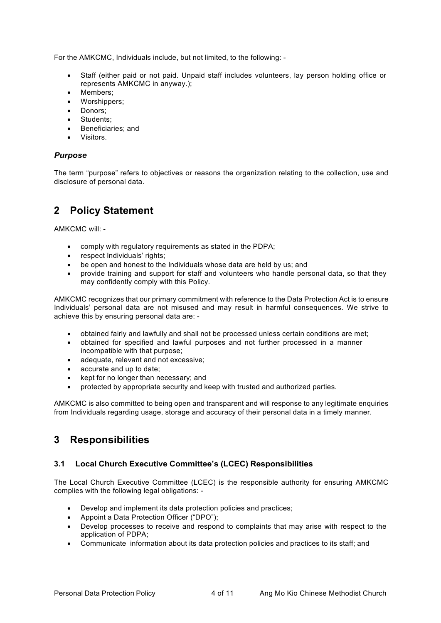For the AMKCMC, Individuals include, but not limited, to the following: -

- Staff (either paid or not paid. Unpaid staff includes volunteers, lay person holding office or represents AMKCMC in anyway.);
- Members;
- Worshippers;
- Donors;
- Students;
- Beneficiaries; and
- Visitors.

#### *Purpose*

The term "purpose" refers to objectives or reasons the organization relating to the collection, use and disclosure of personal data.

# **2 Policy Statement**

AMKCMC will: -

- comply with regulatory requirements as stated in the PDPA;
- respect Individuals' rights:
- be open and honest to the Individuals whose data are held by us; and
- provide training and support for staff and volunteers who handle personal data, so that they may confidently comply with this Policy.

AMKCMC recognizes that our primary commitment with reference to the Data Protection Act is to ensure Individuals' personal data are not misused and may result in harmful consequences. We strive to achieve this by ensuring personal data are: -

- obtained fairly and lawfully and shall not be processed unless certain conditions are met;
- obtained for specified and lawful purposes and not further processed in a manner incompatible with that purpose;
- adequate, relevant and not excessive;
- accurate and up to date;
- kept for no longer than necessary; and
- protected by appropriate security and keep with trusted and authorized parties.

AMKCMC is also committed to being open and transparent and will response to any legitimate enquiries from Individuals regarding usage, storage and accuracy of their personal data in a timely manner.

# **3 Responsibilities**

#### **3.1 Local Church Executive Committee's (LCEC) Responsibilities**

The Local Church Executive Committee (LCEC) is the responsible authority for ensuring AMKCMC complies with the following legal obligations: -

- Develop and implement its data protection policies and practices;
- Appoint a Data Protection Officer ("DPO");
- Develop processes to receive and respond to complaints that may arise with respect to the application of PDPA;
- Communicate information about its data protection policies and practices to its staff; and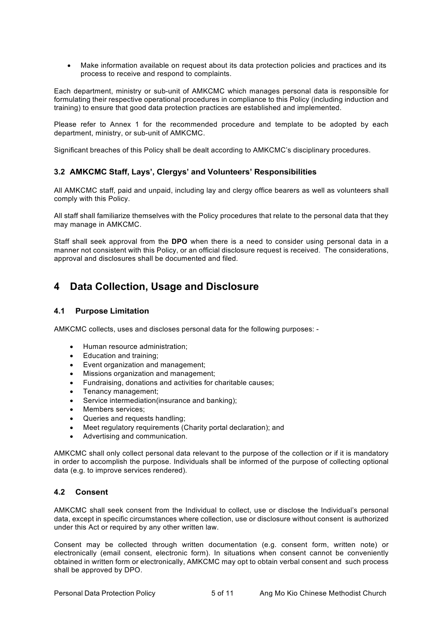• Make information available on request about its data protection policies and practices and its process to receive and respond to complaints.

Each department, ministry or sub-unit of AMKCMC which manages personal data is responsible for formulating their respective operational procedures in compliance to this Policy (including induction and training) to ensure that good data protection practices are established and implemented.

Please refer to Annex 1 for the recommended procedure and template to be adopted by each department, ministry, or sub-unit of AMKCMC.

Significant breaches of this Policy shall be dealt according to AMKCMC's disciplinary procedures.

#### **3.2 AMKCMC Staff, Lays', Clergys' and Volunteers' Responsibilities**

All AMKCMC staff, paid and unpaid, including lay and clergy office bearers as well as volunteers shall comply with this Policy.

All staff shall familiarize themselves with the Policy procedures that relate to the personal data that they may manage in AMKCMC.

Staff shall seek approval from the **DPO** when there is a need to consider using personal data in a manner not consistent with this Policy, or an official disclosure request is received. The considerations, approval and disclosures shall be documented and filed.

# **4 Data Collection, Usage and Disclosure**

#### **4.1 Purpose Limitation**

AMKCMC collects, uses and discloses personal data for the following purposes: -

- Human resource administration;
- Education and training;
- Event organization and management;
- Missions organization and management;
- Fundraising, donations and activities for charitable causes;
- Tenancy management;
- Service intermediation(insurance and banking);
- Members services:
- Queries and requests handling;
- Meet regulatory requirements (Charity portal declaration); and
- Advertising and communication.

AMKCMC shall only collect personal data relevant to the purpose of the collection or if it is mandatory in order to accomplish the purpose. Individuals shall be informed of the purpose of collecting optional data (e.g. to improve services rendered).

#### **4.2 Consent**

AMKCMC shall seek consent from the Individual to collect, use or disclose the Individual's personal data, except in specific circumstances where collection, use or disclosure without consent is authorized under this Act or required by any other written law.

Consent may be collected through written documentation (e.g. consent form, written note) or electronically (email consent, electronic form). In situations when consent cannot be conveniently obtained in written form or electronically, AMKCMC may opt to obtain verbal consent and such process shall be approved by DPO.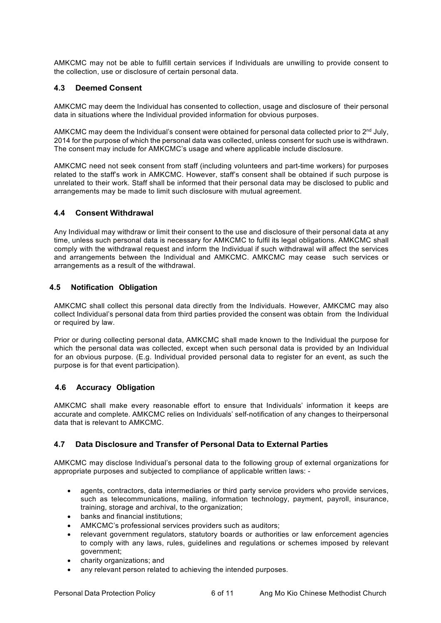AMKCMC may not be able to fulfill certain services if Individuals are unwilling to provide consent to the collection, use or disclosure of certain personal data.

#### **4.3 Deemed Consent**

AMKCMC may deem the Individual has consented to collection, usage and disclosure of their personal data in situations where the Individual provided information for obvious purposes.

AMKCMC may deem the Individual's consent were obtained for personal data collected prior to  $2<sup>nd</sup>$  July, 2014 for the purpose of which the personal data was collected, unless consent for such use is withdrawn. The consent may include for AMKCMC's usage and where applicable include disclosure.

AMKCMC need not seek consent from staff (including volunteers and part-time workers) for purposes related to the staff's work in AMKCMC. However, staff's consent shall be obtained if such purpose is unrelated to their work. Staff shall be informed that their personal data may be disclosed to public and arrangements may be made to limit such disclosure with mutual agreement.

#### **4.4 Consent Withdrawal**

Any Individual may withdraw or limit their consent to the use and disclosure of their personal data at any time, unless such personal data is necessary for AMKCMC to fulfil its legal obligations. AMKCMC shall comply with the withdrawal request and inform the Individual if such withdrawal will affect the services and arrangements between the Individual and AMKCMC. AMKCMC may cease such services or arrangements as a result of the withdrawal.

#### **4.5 Notification Obligation**

AMKCMC shall collect this personal data directly from the Individuals. However, AMKCMC may also collect Individual's personal data from third parties provided the consent was obtain from the Individual or required by law.

Prior or during collecting personal data, AMKCMC shall made known to the Individual the purpose for which the personal data was collected, except when such personal data is provided by an Individual for an obvious purpose. (E.g. Individual provided personal data to register for an event, as such the purpose is for that event participation).

### **4.6 Accuracy Obligation**

AMKCMC shall make every reasonable effort to ensure that Individuals' information it keeps are accurate and complete. AMKCMC relies on Individuals' self-notification of any changes to theirpersonal data that is relevant to AMKCMC.

#### **4.7 Data Disclosure and Transfer of Personal Data to External Parties**

AMKCMC may disclose Individual's personal data to the following group of external organizations for appropriate purposes and subjected to compliance of applicable written laws: -

- agents, contractors, data intermediaries or third party service providers who provide services, such as telecommunications, mailing, information technology, payment, payroll, insurance, training, storage and archival, to the organization;
- banks and financial institutions;
- AMKCMC's professional services providers such as auditors;
- relevant government regulators, statutory boards or authorities or law enforcement agencies to comply with any laws, rules, guidelines and regulations or schemes imposed by relevant government;
- charity organizations; and
- any relevant person related to achieving the intended purposes.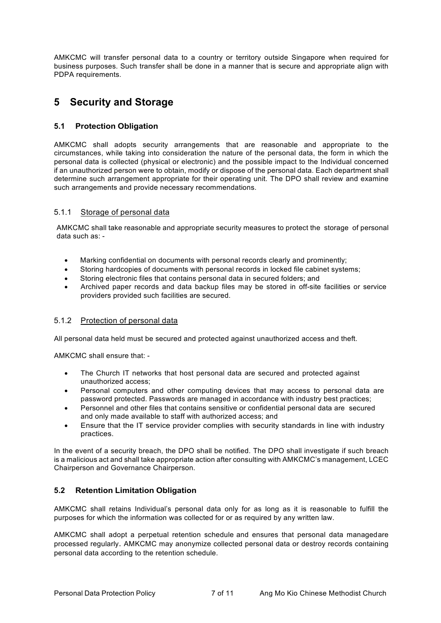AMKCMC will transfer personal data to a country or territory outside Singapore when required for business purposes. Such transfer shall be done in a manner that is secure and appropriate align with PDPA requirements.

# **5 Security and Storage**

## **5.1 Protection Obligation**

AMKCMC shall adopts security arrangements that are reasonable and appropriate to the circumstances, while taking into consideration the nature of the personal data, the form in which the personal data is collected (physical or electronic) and the possible impact to the Individual concerned if an unauthorized person were to obtain, modify or dispose of the personal data. Each department shall determine such arrangement appropriate for their operating unit. The DPO shall review and examine such arrangements and provide necessary recommendations.

## 5.1.1 Storage of personal data

AMKCMC shall take reasonable and appropriate security measures to protect the storage of personal data such as: -

- Marking confidential on documents with personal records clearly and prominently;
- Storing hardcopies of documents with personal records in locked file cabinet systems;
- Storing electronic files that contains personal data in secured folders; and
- Archived paper records and data backup files may be stored in off-site facilities or service providers provided such facilities are secured.

#### 5.1.2 Protection of personal data

All personal data held must be secured and protected against unauthorized access and theft.

AMKCMC shall ensure that: -

- The Church IT networks that host personal data are secured and protected against unauthorized access;
- Personal computers and other computing devices that may access to personal data are password protected. Passwords are managed in accordance with industry best practices;
- Personnel and other files that contains sensitive or confidential personal data are secured and only made available to staff with authorized access; and
- Ensure that the IT service provider complies with security standards in line with industry practices.

In the event of a security breach, the DPO shall be notified. The DPO shall investigate if such breach is a malicious act and shall take appropriate action after consulting with AMKCMC's management, LCEC Chairperson and Governance Chairperson.

# **5.2 Retention Limitation Obligation**

AMKCMC shall retains Individual's personal data only for as long as it is reasonable to fulfill the purposes for which the information was collected for or as required by any written law.

AMKCMC shall adopt a perpetual retention schedule and ensures that personal data managedare processed regularly. AMKCMC may anonymize collected personal data or destroy records containing personal data according to the retention schedule.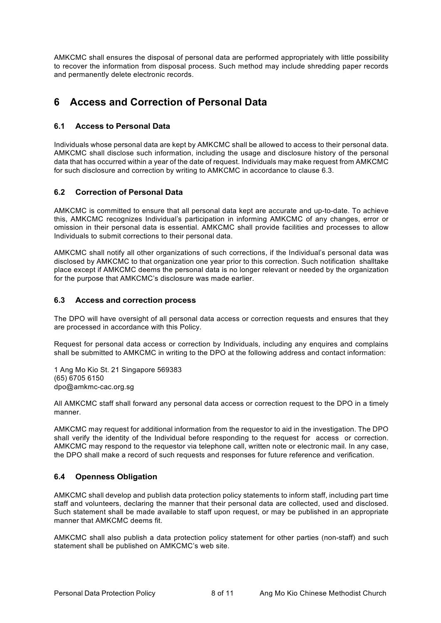AMKCMC shall ensures the disposal of personal data are performed appropriately with little possibility to recover the information from disposal process. Such method may include shredding paper records and permanently delete electronic records.

# **6 Access and Correction of Personal Data**

## **6.1 Access to Personal Data**

Individuals whose personal data are kept by AMKCMC shall be allowed to access to their personal data. AMKCMC shall disclose such information, including the usage and disclosure history of the personal data that has occurred within a year of the date of request. Individuals may make request from AMKCMC for such disclosure and correction by writing to AMKCMC in accordance to clause 6.3.

# **6.2 Correction of Personal Data**

AMKCMC is committed to ensure that all personal data kept are accurate and up-to-date. To achieve this, AMKCMC recognizes Individual's participation in informing AMKCMC of any changes, error or omission in their personal data is essential. AMKCMC shall provide facilities and processes to allow Individuals to submit corrections to their personal data.

AMKCMC shall notify all other organizations of such corrections, if the Individual's personal data was disclosed by AMKCMC to that organization one year prior to this correction. Such notification shalltake place except if AMKCMC deems the personal data is no longer relevant or needed by the organization for the purpose that AMKCMC's disclosure was made earlier.

## **6.3 Access and correction process**

The DPO will have oversight of all personal data access or correction requests and ensures that they are processed in accordance with this Policy.

Request for personal data access or correction by Individuals, including any enquires and complains shall be submitted to AMKCMC in writing to the DPO at the following address and contact information:

1 Ang Mo Kio St. 21 Singapore 569383 (65) 6705 6150 dpo@amkmc-cac.org.sg

All AMKCMC staff shall forward any personal data access or correction request to the DPO in a timely manner.

AMKCMC may request for additional information from the requestor to aid in the investigation. The DPO shall verify the identity of the Individual before responding to the request for access or correction. AMKCMC may respond to the requestor via telephone call, written note or electronic mail. In any case, the DPO shall make a record of such requests and responses for future reference and verification.

#### **6.4 Openness Obligation**

AMKCMC shall develop and publish data protection policy statements to inform staff, including part time staff and volunteers, declaring the manner that their personal data are collected, used and disclosed. Such statement shall be made available to staff upon request, or may be published in an appropriate manner that AMKCMC deems fit.

AMKCMC shall also publish a data protection policy statement for other parties (non-staff) and such statement shall be published on AMKCMC's web site.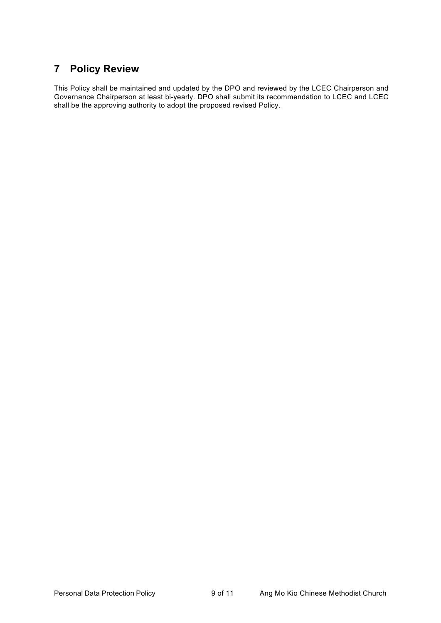# **7 Policy Review**

This Policy shall be maintained and updated by the DPO and reviewed by the LCEC Chairperson and Governance Chairperson at least bi-yearly. DPO shall submit its recommendation to LCEC and LCEC shall be the approving authority to adopt the proposed revised Policy.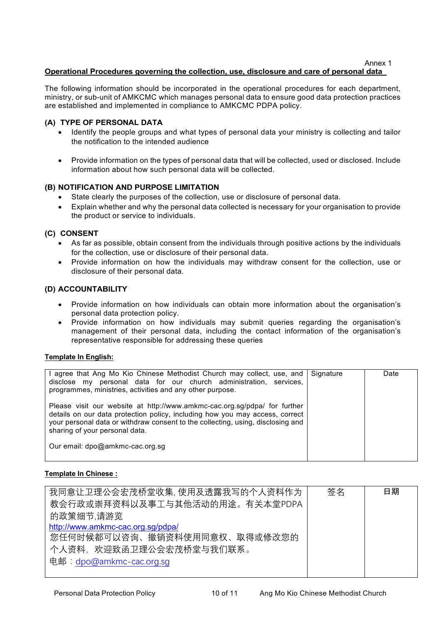Annex 1

## **Operational Procedures governing the collection, use, disclosure and care of personal data**

The following information should be incorporated in the operational procedures for each department, ministry, or sub-unit of AMKCMC which manages personal data to ensure good data protection practices are established and implemented in compliance to AMKCMC PDPA policy.

#### **(A) TYPE OF PERSONAL DATA**

- Identify the people groups and what types of personal data your ministry is collecting and tailor the notification to the intended audience
- Provide information on the types of personal data that will be collected, used or disclosed. Include information about how such personal data will be collected.

#### **(B) NOTIFICATION AND PURPOSE LIMITATION**

- State clearly the purposes of the collection, use or disclosure of personal data.
- Explain whether and why the personal data collected is necessary for your organisation to provide the product or service to individuals.

#### **(C) CONSENT**

- As far as possible, obtain consent from the individuals through positive actions by the individuals for the collection, use or disclosure of their personal data.
- Provide information on how the individuals may withdraw consent for the collection, use or disclosure of their personal data.

#### **(D) ACCOUNTABILITY**

- Provide information on how individuals can obtain more information about the organisation's personal data protection policy.
- Provide information on how individuals may submit queries regarding the organisation's management of their personal data, including the contact information of the organisation's representative responsible for addressing these queries

#### **Template In English:**

| I agree that Ang Mo Kio Chinese Methodist Church may collect, use, and<br>disclose my personal data for our church administration, services,<br>programmes, ministries, activities and any other purpose.                                                                      | Signature | Date |
|--------------------------------------------------------------------------------------------------------------------------------------------------------------------------------------------------------------------------------------------------------------------------------|-----------|------|
| Please visit our website at http://www.amkmc-cac.org.sg/pdpa/ for further<br>details on our data protection policy, including how you may access, correct<br>your personal data or withdraw consent to the collecting, using, disclosing and<br>sharing of your personal data. |           |      |
| Our email: dpo@amkmc-cac.org.sq                                                                                                                                                                                                                                                |           |      |

#### **Template In Chinese :**

| 我同意让卫理公会宏茂桥堂收集, 使用及透露我写的个人资料作为    | 签名 | 日期 |
|-----------------------------------|----|----|
| 教会行政或崇拜资料以及事工与其他活动的用途。有关本堂PDPA    |    |    |
| 的政策细节,请游览                         |    |    |
| http://www.amkmc-cac.org.sg/pdpa/ |    |    |
| 您任何时候都可以咨询、撤销资料使用同意权、取得或修改您的      |    |    |
| 个人资料,欢迎致函卫理公会宏茂桥堂与我们联系。           |    |    |
| 电邮: dpo@amkmc-cac.org.sg          |    |    |
|                                   |    |    |